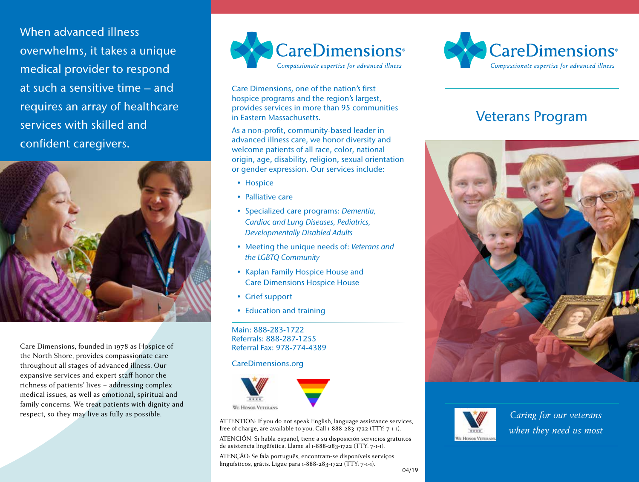When advanced illness overwhelms, it takes a unique medical provider to respond at such a sensitive time – and requires an array of healthcare services with skilled and confident caregivers.



Care Dimensions, founded in 1978 as Hospice of the North Shore, provides compassionate care throughout all stages of advanced illness. Our expansive services and expert staff honor the richness of patients' lives – addressing complex medical issues, as well as emotional, spiritual and family concerns. We treat patients with dignity and respect, so they may live as fully as possible. *Caring for our veterans* 



Care Dimensions, one of the nation's first hospice programs and the region's largest, provides services in more than 95 communities in Eastern Massachusetts.

As a non-profit, community-based leader in advanced illness care, we honor diversity and welcome patients of all race, color, national origin, age, disability, religion, sexual orientation or gender expression. Our services include:

- Hospice
- Palliative care
- Specialized care programs: *Dementia, Cardiac and Lung Diseases, Pediatrics, Developmentally Disabled Adults*
- Meeting the unique needs of: *Veterans and the LGBTQ Community*
- Kaplan Family Hospice House and Care Dimensions Hospice House
- Grief support
- Education and training

Main: 888-283-1722 Referrals: 888-287-1255 Referral Fax: 978-774-4389

CareDimensions.org



ATTENTION: If you do not speak English, language assistance services, free of charge, are available to you. Call 1-888-283-1722 (TTY: 7-1-1).

ATENCIÓN: Si habla español, tiene a su disposición servicios gratuitos de asistencia lingüística. Llame al 1-888-283-1722 (TTY: 7-1-1).

ATENÇÃO: Se fala português, encontram-se disponíveis serviços linguísticos, grátis. Ligue para 1-888-283-1722 (TTY: 7-1-1).



# Veterans Program





*when they need us most*